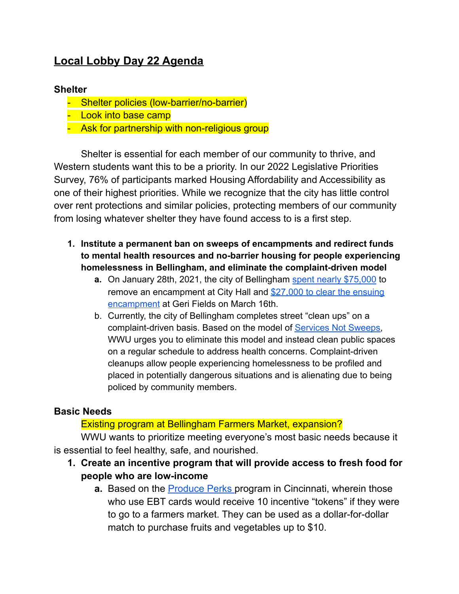## **Local Lobby Day 22 Agenda**

#### **Shelter**

- Shelter policies (low-barrier/no-barrier)
- Look into base camp
- Ask for partnership with non-religious group

Shelter is essential for each member of our community to thrive, and Western students want this to be a priority. In our 2022 Legislative Priorities Survey, 76% of participants marked Housing Affordability and Accessibility as one of their highest priorities. While we recognize that the city has little control over rent protections and similar policies, protecting members of our community from losing whatever shelter they have found access to is a first step.

- **1. Institute a permanent ban on sweeps of encampments and redirect funds to mental health resources and no-barrier housing for people experiencing homelessness in Bellingham, and eliminate the complaint-driven model**
	- **a.** On January 28th, 2021, the city of Bellingham spent [nearly \\$75,000](https://www.bellinghamherald.com/news/local/article249105190.html) to remove an encampment at City Hall and [\\$27,000 to clear](https://www.bellinghamherald.com/news/local/article250145699.html) the ensuing [encampment](https://www.bellinghamherald.com/news/local/article250145699.html) at Geri Fields on March 16th.
	- b. Currently, the city of Bellingham completes street "clean ups" on a complaint-driven basis. Based on the model of Services [Not Sweeps,](https://servicesnotsweeps.com/) WWU urges you to eliminate this model and instead clean public spaces on a regular schedule to address health concerns. Complaint-driven cleanups allow people experiencing homelessness to be profiled and placed in potentially dangerous situations and is alienating due to being policed by community members.

## **Basic Needs**

#### Existing program at Bellingham Farmers Market, expansion?

WWU wants to prioritize meeting everyone's most basic needs because it is essential to feel healthy, safe, and nourished.

- **1. Create an incentive program that will provide access to fresh food for people who are low-income**
	- **a.** Based on the **[Produce](https://www.cincinnati-oh.gov/health/news/produce-perks-program-in-hamilton-county/) Perks** program in Cincinnati, wherein those who use EBT cards would receive 10 incentive "tokens" if they were to go to a farmers market. They can be used as a dollar-for-dollar match to purchase fruits and vegetables up to \$10.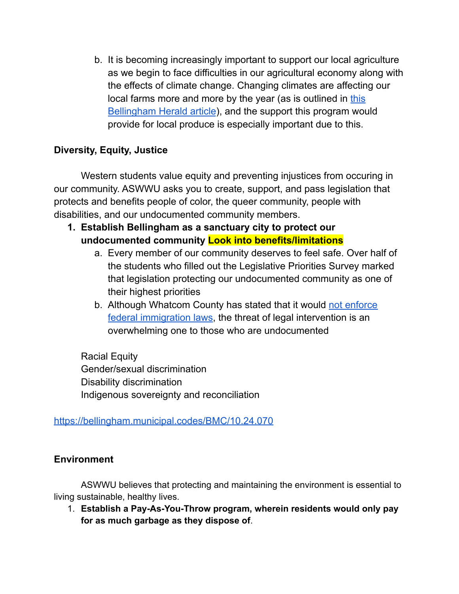b. It is becoming increasingly important to support our local agriculture as we begin to face difficulties in our agricultural economy along with the effects of climate change. Changing climates are affecting our local farms more and more by the year (as is outlined in [this](https://www.bellinghamherald.com/article252373238.html) [Bellingham](https://www.bellinghamherald.com/article252373238.html) Herald article), and the support this program would provide for local produce is especially important due to this.

## **Diversity, Equity, Justice**

Western students value equity and preventing injustices from occuring in our community. ASWWU asks you to create, support, and pass legislation that protects and benefits people of color, the queer community, people with disabilities, and our undocumented community members.

- **1. Establish Bellingham as a sanctuary city to protect our undocumented community Look into benefits/limitations**
	- a. Every member of our community deserves to feel safe. Over half of the students who filled out the Legislative Priorities Survey marked that legislation protecting our undocumented community as one of their highest priorities
	- b. Although Whatcom County has stated that it would not [enforce](https://www.bellinghamherald.com/news/local/article132571584.html) federal [immigration](https://www.bellinghamherald.com/news/local/article132571584.html) laws, the threat of legal intervention is an overwhelming one to those who are undocumented

Racial Equity Gender/sexual discrimination Disability discrimination Indigenous sovereignty and reconciliation

<https://bellingham.municipal.codes/BMC/10.24.070>

## **Environment**

ASWWU believes that protecting and maintaining the environment is essential to living sustainable, healthy lives.

1. **Establish a Pay-As-You-Throw program, wherein residents would only pay for as much garbage as they dispose of**.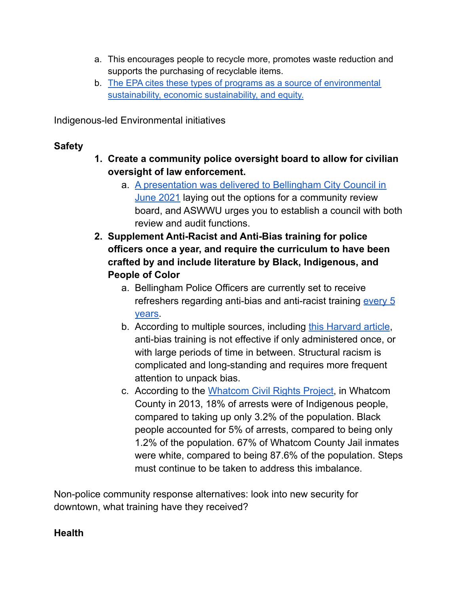- a. This encourages people to recycle more, promotes waste reduction and supports the purchasing of recyclable items.
- b. [The EPA cites these types of programs as a source of environmental](https://archive.epa.gov/wastes/conserve/tools/payt/web/html/index.html) [sustainability, economic sustainability, and equity.](https://archive.epa.gov/wastes/conserve/tools/payt/web/html/index.html)

Indigenous-led Environmental initiatives

#### **Safety**

- **1. Create a community police oversight board to allow for civilian oversight of law enforcement.**
	- a. A [presentation](https://meetings.cob.org/Documents/ViewDocument/Attachment%20-%20PRESENTATION%20CIVILIAN%20OVERSIGHT%20EXAMPLES%20-%20AB_%2023015.pdf?meetingId=2472&documentType=Agenda&itemId=20079&publishId=21138&isSection=false) was delivered to Bellingham City Council in June [2021](https://meetings.cob.org/Documents/ViewDocument/Attachment%20-%20PRESENTATION%20CIVILIAN%20OVERSIGHT%20EXAMPLES%20-%20AB_%2023015.pdf?meetingId=2472&documentType=Agenda&itemId=20079&publishId=21138&isSection=false) laying out the options for a community review board, and ASWWU urges you to establish a council with both review and audit functions.
- **2. Supplement Anti-Racist and Anti-Bias training for police officers once a year, and require the curriculum to have been crafted by and include literature by Black, Indigenous, and People of Color**
	- a. Bellingham Police Officers are currently set to receive refreshers regarding anti-bias and anti-racist training [every](https://cob.org/wp-content/uploads/Policy-401-Bias-Based-Policing-Mar-2020.pdf) 5 [years.](https://cob.org/wp-content/uploads/Policy-401-Bias-Based-Policing-Mar-2020.pdf)
	- b. According to multiple sources, including this [Harvard](https://scholar.harvard.edu/files/dobbin/files/an2018.pdf) article, anti-bias training is not effective if only administered once, or with large periods of time in between. Structural racism is complicated and long-standing and requires more frequent attention to unpack bias.
	- c. According to the [Whatcom](https://www.whatcomcounty.us/DocumentCenter/View/12805/Whatcom-Civil-Rights-Project-handout) Civil Rights Project, in Whatcom County in 2013, 18% of arrests were of Indigenous people, compared to taking up only 3.2% of the population. Black people accounted for 5% of arrests, compared to being only 1.2% of the population. 67% of Whatcom County Jail inmates were white, compared to being 87.6% of the population. Steps must continue to be taken to address this imbalance.

Non-police community response alternatives: look into new security for downtown, what training have they received?

## **Health**